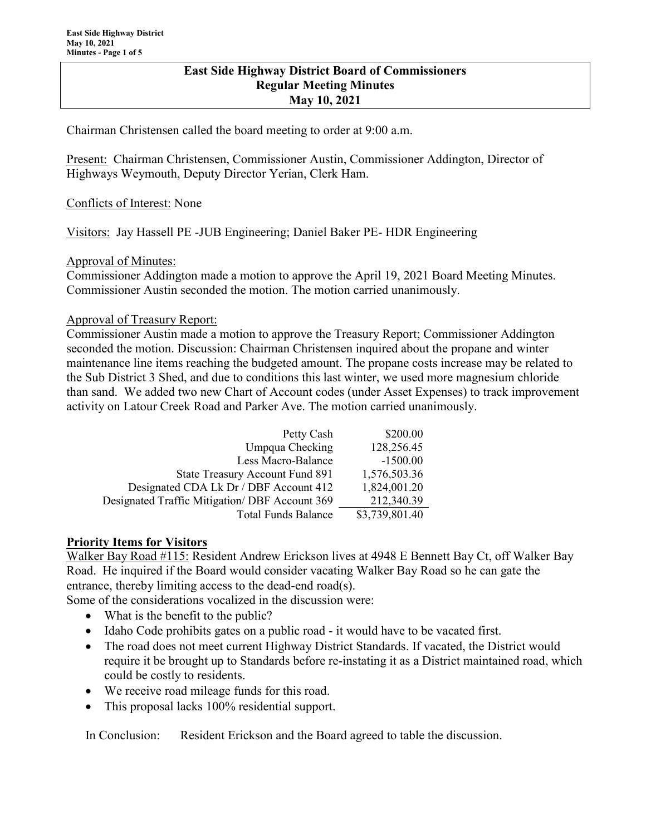### **East Side Highway District Board of Commissioners Regular Meeting Minutes May 10, 2021**

Chairman Christensen called the board meeting to order at 9:00 a.m.

Present: Chairman Christensen, Commissioner Austin, Commissioner Addington, Director of Highways Weymouth, Deputy Director Yerian, Clerk Ham.

### Conflicts of Interest: None

Visitors: Jay Hassell PE -JUB Engineering; Daniel Baker PE- HDR Engineering

### Approval of Minutes:

Commissioner Addington made a motion to approve the April 19, 2021 Board Meeting Minutes. Commissioner Austin seconded the motion. The motion carried unanimously.

### Approval of Treasury Report:

Commissioner Austin made a motion to approve the Treasury Report; Commissioner Addington seconded the motion. Discussion: Chairman Christensen inquired about the propane and winter maintenance line items reaching the budgeted amount. The propane costs increase may be related to the Sub District 3 Shed, and due to conditions this last winter, we used more magnesium chloride than sand. We added two new Chart of Account codes (under Asset Expenses) to track improvement activity on Latour Creek Road and Parker Ave. The motion carried unanimously.

| 128,256.45<br>$-1500.00$<br>1,576,503.36<br>1,824,001.20<br>212,340.39<br>\$3,739,801.40 |
|------------------------------------------------------------------------------------------|

### **Priority Items for Visitors**

Walker Bay Road #115: Resident Andrew Erickson lives at 4948 E Bennett Bay Ct, off Walker Bay Road. He inquired if the Board would consider vacating Walker Bay Road so he can gate the entrance, thereby limiting access to the dead-end road(s).

Some of the considerations vocalized in the discussion were:

- What is the benefit to the public?
- Idaho Code prohibits gates on a public road it would have to be vacated first.
- The road does not meet current Highway District Standards. If vacated, the District would require it be brought up to Standards before re-instating it as a District maintained road, which could be costly to residents.
- We receive road mileage funds for this road.
- This proposal lacks 100% residential support.

In Conclusion: Resident Erickson and the Board agreed to table the discussion.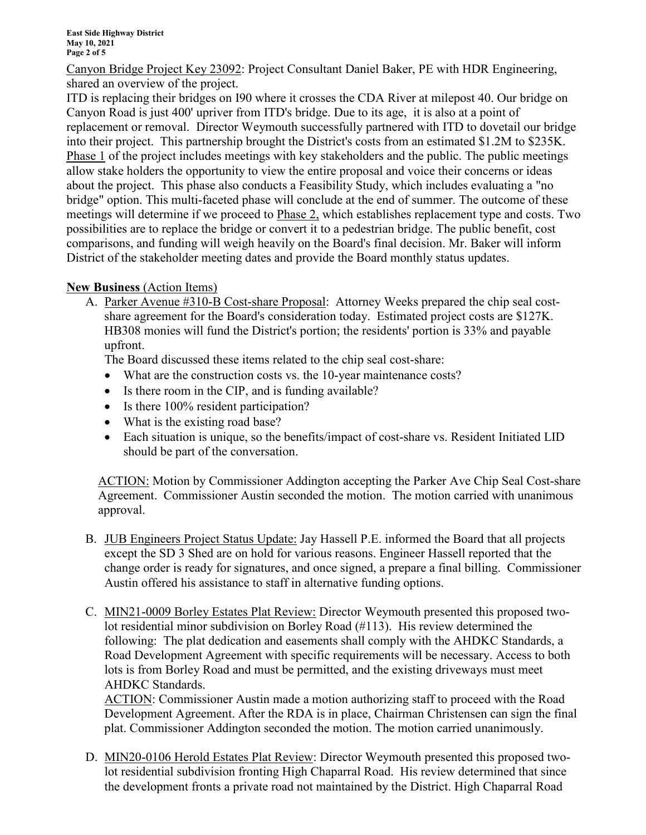Canyon Bridge Project Key 23092: Project Consultant Daniel Baker, PE with HDR Engineering, shared an overview of the project.

ITD is replacing their bridges on I90 where it crosses the CDA River at milepost 40. Our bridge on Canyon Road is just 400' upriver from ITD's bridge. Due to its age, it is also at a point of replacement or removal. Director Weymouth successfully partnered with ITD to dovetail our bridge into their project. This partnership brought the District's costs from an estimated \$1.2M to \$235K. Phase 1 of the project includes meetings with key stakeholders and the public. The public meetings allow stake holders the opportunity to view the entire proposal and voice their concerns or ideas about the project. This phase also conducts a Feasibility Study, which includes evaluating a "no bridge" option. This multi-faceted phase will conclude at the end of summer. The outcome of these meetings will determine if we proceed to Phase 2, which establishes replacement type and costs. Two possibilities are to replace the bridge or convert it to a pedestrian bridge. The public benefit, cost comparisons, and funding will weigh heavily on the Board's final decision. Mr. Baker will inform District of the stakeholder meeting dates and provide the Board monthly status updates.

# **New Business** (Action Items)

A. Parker Avenue #310-B Cost-share Proposal: Attorney Weeks prepared the chip seal costshare agreement for the Board's consideration today. Estimated project costs are \$127K. HB308 monies will fund the District's portion; the residents' portion is 33% and payable upfront.

The Board discussed these items related to the chip seal cost-share:

- What are the construction costs vs. the 10-year maintenance costs?
- Is there room in the CIP, and is funding available?
- Is there 100% resident participation?
- What is the existing road base?
- Each situation is unique, so the benefits/impact of cost-share vs. Resident Initiated LID should be part of the conversation.

 ACTION: Motion by Commissioner Addington accepting the Parker Ave Chip Seal Cost-share Agreement. Commissioner Austin seconded the motion. The motion carried with unanimous approval.

- B. JUB Engineers Project Status Update: Jay Hassell P.E. informed the Board that all projects except the SD 3 Shed are on hold for various reasons. Engineer Hassell reported that the change order is ready for signatures, and once signed, a prepare a final billing. Commissioner Austin offered his assistance to staff in alternative funding options.
- C. MIN21-0009 Borley Estates Plat Review: Director Weymouth presented this proposed twolot residential minor subdivision on Borley Road (#113). His review determined the following: The plat dedication and easements shall comply with the AHDKC Standards, a Road Development Agreement with specific requirements will be necessary. Access to both lots is from Borley Road and must be permitted, and the existing driveways must meet AHDKC Standards.

ACTION: Commissioner Austin made a motion authorizing staff to proceed with the Road Development Agreement. After the RDA is in place, Chairman Christensen can sign the final plat. Commissioner Addington seconded the motion. The motion carried unanimously.

D. MIN20-0106 Herold Estates Plat Review: Director Weymouth presented this proposed twolot residential subdivision fronting High Chaparral Road. His review determined that since the development fronts a private road not maintained by the District. High Chaparral Road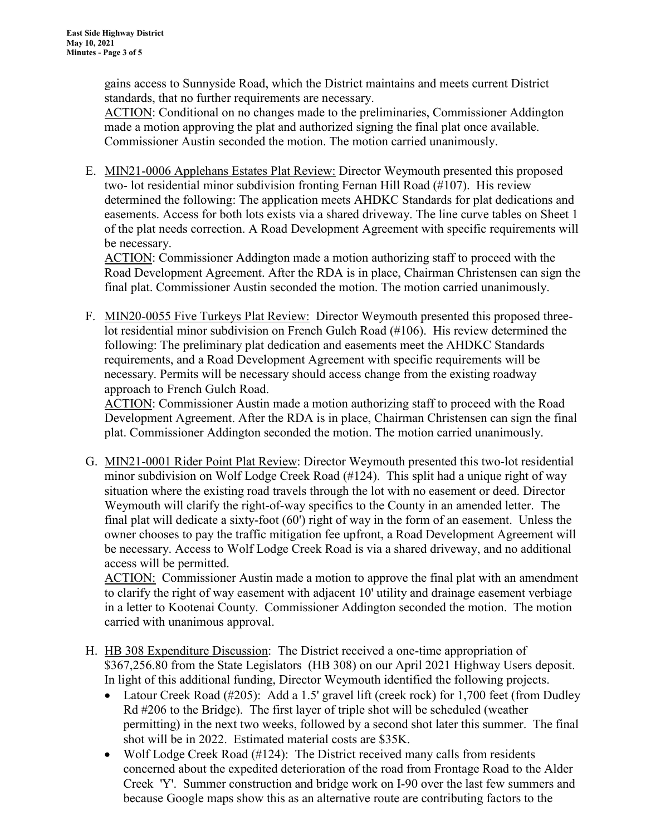gains access to Sunnyside Road, which the District maintains and meets current District standards, that no further requirements are necessary.

ACTION: Conditional on no changes made to the preliminaries, Commissioner Addington made a motion approving the plat and authorized signing the final plat once available. Commissioner Austin seconded the motion. The motion carried unanimously.

E. MIN21-0006 Applehans Estates Plat Review: Director Weymouth presented this proposed two- lot residential minor subdivision fronting Fernan Hill Road (#107). His review determined the following: The application meets AHDKC Standards for plat dedications and easements. Access for both lots exists via a shared driveway. The line curve tables on Sheet 1 of the plat needs correction. A Road Development Agreement with specific requirements will be necessary.

ACTION: Commissioner Addington made a motion authorizing staff to proceed with the Road Development Agreement. After the RDA is in place, Chairman Christensen can sign the final plat. Commissioner Austin seconded the motion. The motion carried unanimously.

F. MIN20-0055 Five Turkeys Plat Review: Director Weymouth presented this proposed threelot residential minor subdivision on French Gulch Road (#106). His review determined the following: The preliminary plat dedication and easements meet the AHDKC Standards requirements, and a Road Development Agreement with specific requirements will be necessary. Permits will be necessary should access change from the existing roadway approach to French Gulch Road.

ACTION: Commissioner Austin made a motion authorizing staff to proceed with the Road Development Agreement. After the RDA is in place, Chairman Christensen can sign the final plat. Commissioner Addington seconded the motion. The motion carried unanimously.

G. MIN21-0001 Rider Point Plat Review: Director Weymouth presented this two-lot residential minor subdivision on Wolf Lodge Creek Road (#124). This split had a unique right of way situation where the existing road travels through the lot with no easement or deed. Director Weymouth will clarify the right-of-way specifics to the County in an amended letter. The final plat will dedicate a sixty-foot (60') right of way in the form of an easement. Unless the owner chooses to pay the traffic mitigation fee upfront, a Road Development Agreement will be necessary. Access to Wolf Lodge Creek Road is via a shared driveway, and no additional access will be permitted.

ACTION: Commissioner Austin made a motion to approve the final plat with an amendment to clarify the right of way easement with adjacent 10' utility and drainage easement verbiage in a letter to Kootenai County. Commissioner Addington seconded the motion. The motion carried with unanimous approval.

- H. HB 308 Expenditure Discussion: The District received a one-time appropriation of \$367,256.80 from the State Legislators (HB 308) on our April 2021 Highway Users deposit. In light of this additional funding, Director Weymouth identified the following projects.
	- Latour Creek Road (#205): Add a 1.5' gravel lift (creek rock) for 1,700 feet (from Dudley Rd #206 to the Bridge). The first layer of triple shot will be scheduled (weather permitting) in the next two weeks, followed by a second shot later this summer. The final shot will be in 2022. Estimated material costs are \$35K.
	- Wolf Lodge Creek Road (#124): The District received many calls from residents concerned about the expedited deterioration of the road from Frontage Road to the Alder Creek 'Y'. Summer construction and bridge work on I-90 over the last few summers and because Google maps show this as an alternative route are contributing factors to the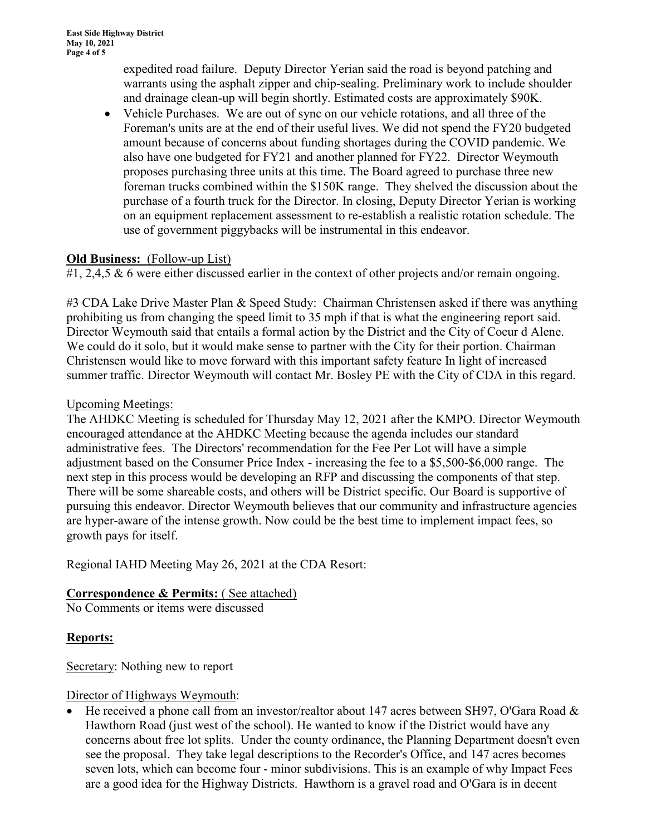expedited road failure. Deputy Director Yerian said the road is beyond patching and warrants using the asphalt zipper and chip-sealing. Preliminary work to include shoulder and drainage clean-up will begin shortly. Estimated costs are approximately \$90K.

• Vehicle Purchases. We are out of sync on our vehicle rotations, and all three of the Foreman's units are at the end of their useful lives. We did not spend the FY20 budgeted amount because of concerns about funding shortages during the COVID pandemic. We also have one budgeted for FY21 and another planned for FY22. Director Weymouth proposes purchasing three units at this time. The Board agreed to purchase three new foreman trucks combined within the \$150K range. They shelved the discussion about the purchase of a fourth truck for the Director. In closing, Deputy Director Yerian is working on an equipment replacement assessment to re-establish a realistic rotation schedule. The use of government piggybacks will be instrumental in this endeavor.

## **Old Business:** (Follow-up List)

#1, 2,4,5  $\&$  6 were either discussed earlier in the context of other projects and/or remain ongoing.

#3 CDA Lake Drive Master Plan & Speed Study: Chairman Christensen asked if there was anything prohibiting us from changing the speed limit to 35 mph if that is what the engineering report said. Director Weymouth said that entails a formal action by the District and the City of Coeur d Alene. We could do it solo, but it would make sense to partner with the City for their portion. Chairman Christensen would like to move forward with this important safety feature In light of increased summer traffic. Director Weymouth will contact Mr. Bosley PE with the City of CDA in this regard.

### Upcoming Meetings:

The AHDKC Meeting is scheduled for Thursday May 12, 2021 after the KMPO. Director Weymouth encouraged attendance at the AHDKC Meeting because the agenda includes our standard administrative fees. The Directors' recommendation for the Fee Per Lot will have a simple adjustment based on the Consumer Price Index - increasing the fee to a \$5,500-\$6,000 range. The next step in this process would be developing an RFP and discussing the components of that step. There will be some shareable costs, and others will be District specific. Our Board is supportive of pursuing this endeavor. Director Weymouth believes that our community and infrastructure agencies are hyper-aware of the intense growth. Now could be the best time to implement impact fees, so growth pays for itself.

Regional IAHD Meeting May 26, 2021 at the CDA Resort:

## **Correspondence & Permits:** ( See attached)

No Comments or items were discussed

## **Reports:**

Secretary: Nothing new to report

## Director of Highways Weymouth:

• He received a phone call from an investor/realtor about 147 acres between SH97, O'Gara Road & Hawthorn Road (just west of the school). He wanted to know if the District would have any concerns about free lot splits. Under the county ordinance, the Planning Department doesn't even see the proposal. They take legal descriptions to the Recorder's Office, and 147 acres becomes seven lots, which can become four - minor subdivisions. This is an example of why Impact Fees are a good idea for the Highway Districts. Hawthorn is a gravel road and O'Gara is in decent